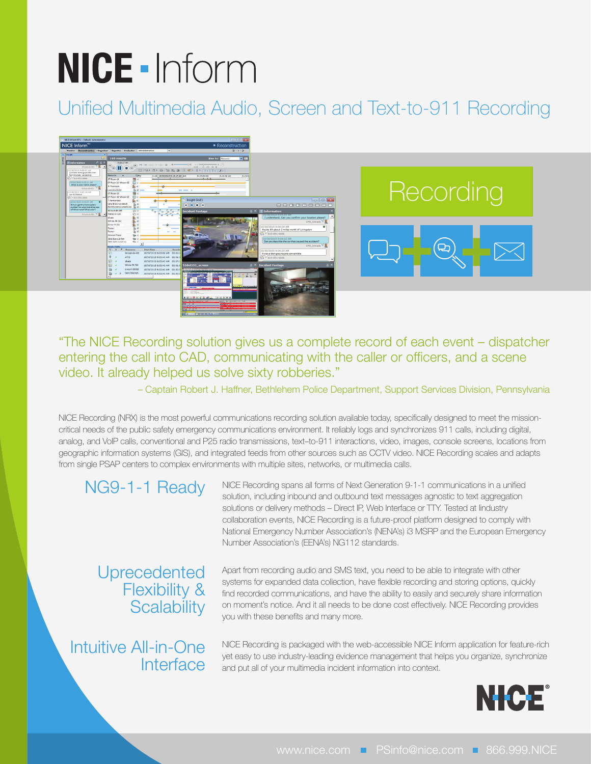# NICE - Inform

## Unified Multimedia Audio, Screen and Text-to-911 Recording



"The NICE Recording solution gives us a complete record of each event – dispatcher entering the call into CAD, communicating with the caller or officers, and a scene video. It already helped us solve sixty robberies."

– Captain Robert J. Haffner, Bethlehem Police Department, Support Services Division, Pennsylvania

NICE Recording (NRX) is the most powerful communications recording solution available today, specifically designed to meet the missioncritical needs of the public safety emergency communications environment. It reliably logs and synchronizes 911 calls, including digital, analog, and VoIP calls, conventional and P25 radio transmissions, text–to-911 interactions, video, images, console screens, locations from geographic information systems (GIS), and integrated feeds from other sources such as CCTV video. NICE Recording scales and adapts from single PSAP centers to complex environments with multiple sites, networks, or multimedia calls.

### NG9-1-1 Ready

NICE Recording spans all forms of Next Generation 9-1-1 communications in a unified solution, including inbound and outbound text messages agnostic to text aggregation solutions or delivery methods - Direct IP, Web Interface or TTY. Tested at lindustry collaboration events, NICE Recording is a future-proof platform designed to comply with National Emergency Number Association's (NENA's) i3 MSRP and the European Emergency Number Association's (EENA's) NG112 standards.

Uprecedented Flexibility & **Scalability** 

Intuitive All-in-One **Interface**  Apart from recording audio and SMS text, you need to be able to integrate with other systems for expanded data collection, have flexible recording and storing options, quickly find recorded communications, and have the ability to easily and securely share information on moment's notice. And it all needs to be done cost effectively. NICE Recording provides you with these benefits and many more.

NICE Recording is packaged with the web-accessible NICE Inform application for feature-rich yet easy to use industry-leading evidence management that helps you organize, synchronize and put all of your multimedia incident information into context.